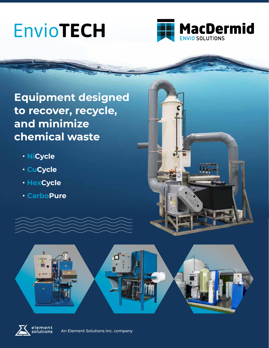# Envio**TECH**



**Equipment designed to recover, recycle, and minimize chemical waste**

- **NiCycle**
- **CuCycle**
- **HexCycle**
- **CarboPure**





An Element Solutions Inc. company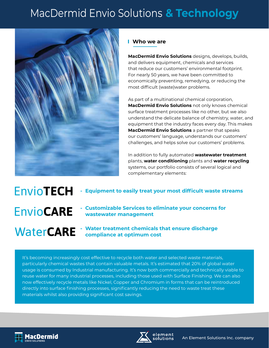## MacDermid Envio Solutions **& Technology**



### **Who we are**

**MacDermid Envio Solutions** designs, develops, builds, and delivers equipment, chemicals and services that reduce our customers' environmental footprint. For nearly 50 years, we have been committed to economically preventing, remedying, or reducing the most difficult (waste)water problems.

As part of a multinational chemical corporation, **MacDermid Envio Solutions** not only knows chemical surface treatment processes like no other, but we also understand the delicate balance of chemistry, water, and equipment that the industry faces every day. This makes **MacDermid Envio Solutions** a partner that speaks our customers' language, understands our customers' challenges, and helps solve our customers' problems.

In addition to fully automated **wastewater treatment** plants, **water conditioning** plants and **water recycling** systems, our portfolio consists of several logical and complementary elements:

Envio**TECH - Equipment to easily treat your most difficult waste streams - Customizable Services to eliminate your concerns for**  Envio**CARE wastewater management - Water treatment chemicals that ensure discharge WaterCARE compliance at optimum cost**

It's becoming increasingly cost effective to recycle both water and selected waste materials, particularly chemical wastes that contain valuable metals. It's estimated that 20% of global water usage is consumed by Industrial manufacturing. It's now both commercially and technically viable to reuse water for many industrial processes, including those used with Surface Finishing. We can also now effectively recycle metals like Nickel, Copper and Chromium in forms that can be reintroduced directly into surface finishing processes, significantly reducing the need to waste treat these materials whilst also providing significant cost savings.



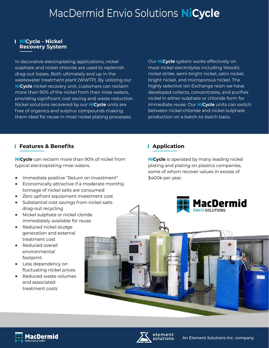### MacDermid Envio Solutions **NiCycle**

#### **NiCycle - Nickel Recovery System**

In decorative electroplating applications, nickel sulphate and nickel chloride are used to replenish drag-out losses. Both ultimately end up in the wastewater treatment plant (WWTP). By utilizing our **NiCycle** nickel recovery unit, customers can reclaim more than 90% of the nickel from their rinse waters, providing significant cost saving and waste reduction. Nickel solutions recovered by our **NiCycle** units are free of organics and sulphur compounds making them ideal for reuse in most nickel plating processes.

Our **NiCycle** system works effectively on most nickel electrolytes including Wood's nickel strike, semi-bright nickel, satin nickel, bright nickel, and microporous nickel. The highly selective Ion Exchange resin we have developed collects, concentrates, and purifies nickel in either sulphate or chloride form for immediate reuse. Our **NiCycle** units can switch between nickel chloride and nickel sulphate production on a batch-to-batch basis.

### **Features & Benefits**

**NiCycle** can reclaim more than 90% of nickel from typical electroplating rinse waters.

- **•** Immediate positive "Return on Investment"
- **•** Economically attractive if a moderate monthly tonnage of nickel salts are consumed
- **•** Zero upfront equipment investment cost
- **•** Substantial cost savings from nickel salts drag-out recycling
- **•** Nickel sulphate or nickel cloride immediately available for reuse
- **•** Reduced nickel sludge generation and external treatment cost
- **•** Reduced overall environmental footprint
- **•** Less dependency on fluctuating nickel prices
- **•** Reduced waste volumes and associated treatment costs

### **Application**

**NiCycle** is operated by many leading nickel plating and plating on plastics companies, some of whom recover values in excess of \$400k per year.





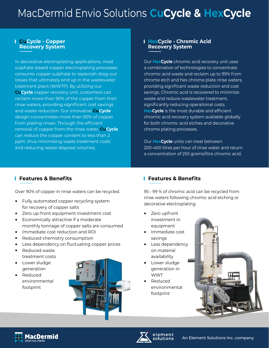## MacDermid Envio Solutions **CuCycle & HexCycle**

#### **CuCycle - Copper Recovery System**

In decorative electroplating applications, most sulphate-based copper electroplating processes consume copper sulphate to replenish drag-out losses that ultimately end up in the wastewater treatment plant (WWTP). By utilizing our **CuCycle** copper recovery unit, customers can reclaim more than 90% of the copper from their rinse waters, providing significant cost savings and waste reduction. Our innovative **CuCycle** design concentrates more than 90% of copper from plating rinses. Through the efficient removal of copper from the rinse water, **CuCycle** can reduce the copper content to less than 2 ppm, thus minimising waste treatment costs and reducing waste disposal volumes.

#### **HexCycle - Chromic Acid Recovery System**

Our **HexCycle** chromic acid recovery unit uses a combination of technologies to concentrate chromic acid waste and reclaim up to 99% from chrome etch and hex chrome plate rinse waters, providing significant waste reduction and cost savings. Chromic acid is recovered to minimize waste and reduce wastewater treatment, significantly reducing operational costs. **HexCycle** is the most durable and efficient chromic acid recovery system available globally for both chromic acid etches and decorative chrome plating processes.

Our **HexCycle** units can treat between 200-400 litres per hour of rinse water and return a concentration of 250 grams/litre chromic acid.

### **Features & Benefits**

Over 90% of copper in rinse waters can be recycled.

- **•** Fully automated copper recycling system for recovery of copper salts
- **•** Zero up-front equipment investment cost
- **•** Economically attractive if a moderate monthly tonnage of copper salts are consumed
- **•** Immediate cost reduction and ROI
- **•** Reduced chemistry consumption
- **•** Less dependency on fluctuating copper prices
- **•** Reduced waste treatment costs
- **•** Lower sludge generation
- **•** Reduced environmental footprint



### **Features & Benefits**

95 - 99 % of chromic acid can be recycled from rinse waters following chromic acid etching or decorative electroplating.

- **•** Zero upfront investment in equipment
- **•** Immediate cost savings
- **•** Less dependency on material availability
- **•** Lower sludge generation in WWT
- **•** Reduced environmental footprint





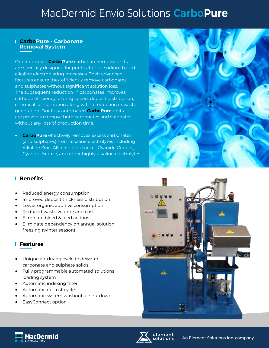### MacDermid Envio Solutions **CarboPure**

#### **CarboPure - Carbonate Removal System**

Our innovative **CarboPure** carbonate removal units are specially designed for purification of sodium based alkaline electroplating processes. Their advanced features ensure they efficiently remove carbonates and sulphates without significant solution loss. The subsequent reduction in carbonates improves cathode efficiency, plating speed, deposit distribution, chemical consumption along with a reduction in waste generation. Our fully automated **CarboPure** units are proven to remove both carbonates and sulphates without any loss of production time.

**• CarboPure** effectively removes excess carbonates (and sulphates) from alkaline electrolytes including Alkaline Zinc, Alkaline Zinc Nickel, Cyanide Copper, Cyanide Bronze, and other highly alkaline electrolytes



### **Benefits**

- **•** Reduced energy consumption
- **•** Improved deposit thickness distribution
- **•** Lower organic additive consumption
- **•** Reduced waste volume and cost
- **•** Eliminate bleed & feed actions
- **•** Eliminate dependency on annual solution freezing (winter season)

### **Features**

- **•** Unique air-drying cycle to dewater carbonate and sulphate solids
- **•** Fully programmable automated solutions loading system
- **•** Automatic indexing filter
- **•** Automatic defrost cycle
- **•** Automatic system washout at shutdown
- **•** EasyConnect option





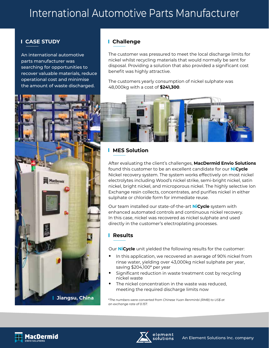### International Automotive Parts Manufacturer

### **CASE STUDY**

An international automotive parts manufacturer was searching for opportunities to recover valuable materials, reduce operational cost and minimise the amount of waste discharged.

### **Challenge**

The customer was pressured to meet the local discharge limits for nickel whilst recycling materials that would normally be sent for disposal. Providing a solution that also provided a significant cost benefit was highly attractive.

The customers yearly consumption of nickel sulphate was 48,000kg with a cost of **\$241,300**.





### **NES Solution**

After evaluating the client's challenges, **MacDermid Envio Solutions** found this customer to be an excellent candidate for our **NiCycle** Nickel recovery system. The system works effectively on most nickel electrolytes including Wood's nickel strike, semi-bright nickel, satin nickel, bright nickel, and microporous nickel. The highly selective Ion Exchange resin collects, concentrates, and purifies nickel in either sulphate or chloride form for immediate reuse.

Our team installed our state-of-the-art **NiCycle** system with enhanced automated controls and continuous nickel recovery. In this case, nickel was recovered as nickel sulphate and used directly in the customer's electroplating processes.

### **Results**

Our **NiCycle** unit yielded the following results for the customer:

- **•** In this application, we recovered an average of 90% nickel from rinse water, yielding over 43,000kg nickel sulphate per year, saving \$204,100\* per year
- **•** Significant reduction in waste treatment cost by recycling nickel waste
- **•** The nickel concentration in the waste was reduced, meeting the required discharge limits now

\**The numbers were converted from Chinese Yuan Renminbi (RMB) to US\$ at an exchange rate of 0.157.*



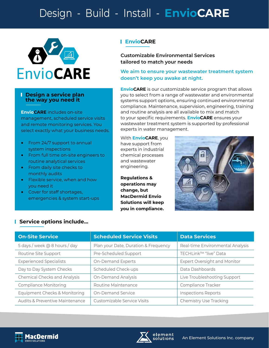### Design - Build - Install - **EnvioCARE**



#### **Design a service plan the way you need it**

**EnvioCARE** includes on-site management, scheduled service visits and remote monitoring services. You select exactly what your business needs.

- **•** From 24/7 support to annual system inspections
- **•** From full time on-site engineers to routine analytical services
- **•** From daily site checks to monthly audits
- **•** Flexible service, when and how you need it
- **•** Cover for staff shortages, emergencies & system start-ups

### **EnvioCARE**

**Customizable Environmental Services tailored to match your needs**

#### **We aim to ensure your wastewater treatment system doesn't keep you awake at night.**

**EnvioCARE** is our customizable service program that allows you to select from a range of wastewater and environmental systems support options, ensuring continued environmental compliance. Maintenance, supervision, engineering, training and routine analysis are all available to mix and match to your specific requirements. **EnvioCARE** ensures your wastewater treatment system is supported by professional experts in water management.

With **EnvioCARE**, you have support from experts in industrial chemical processes and wastewater engineering.

**Regulations & operations may change, but MacDermid Envio Solutions will keep you in compliance.**



### **Service options include…**

| <b>On-Site Service</b>              | <b>Scheduled Service Visits</b>      | <b>Data Services</b>                |
|-------------------------------------|--------------------------------------|-------------------------------------|
| 5 days / week @ 8 hours / day       | Plan your Date, Duration & Frequency | Real-time Environmental Analysis    |
| Routine Site Support                | Pre-Scheduled Support                | TECHLink™ "live" Data               |
| <b>Experienced Specialists</b>      | On-Demand Experts                    | <b>Expert Oversight and Monitor</b> |
| Day to Day System Checks            | Scheduled Check-ups                  | Data Dashboards                     |
| <b>Chemical Checks and Analysis</b> | <b>On-Demand Analysis</b>            | Live Troubleshooting Support        |
| <b>Compliance Monitoring</b>        | Routine Maintenance                  | Compliance Tracker                  |
| Equipment Checks & Monitoring       | <b>On-Demand Service</b>             | <b>Inspections Reports</b>          |
| Audits & Preventive Maintenance     | Customizable Service Visits          | <b>Chemistry Use Tracking</b>       |